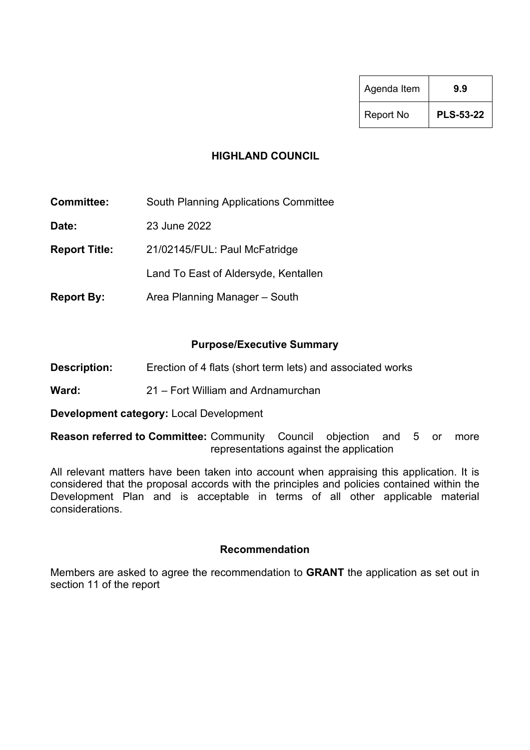| Agenda Item      | 99               |
|------------------|------------------|
| <b>Report No</b> | <b>PLS-53-22</b> |

# **HIGHLAND COUNCIL**

**Committee:** South Planning Applications Committee

**Date:** 23 June 2022

**Report Title:** 21/02145/FUL: Paul McFatridge

Land To East of Aldersyde, Kentallen

**Report By:** Area Planning Manager – South

# **Purpose/Executive Summary**

- **Description:** Erection of 4 flats (short term lets) and associated works
- **Ward:** 21 Fort William and Ardnamurchan

**Development category:** Local Development

**Reason referred to Committee:** Community Council objection and 5 or more representations against the application

All relevant matters have been taken into account when appraising this application. It is considered that the proposal accords with the principles and policies contained within the Development Plan and is acceptable in terms of all other applicable material considerations.

### **Recommendation**

Members are asked to agree the recommendation to **GRANT** the application as set out in section 11 of the report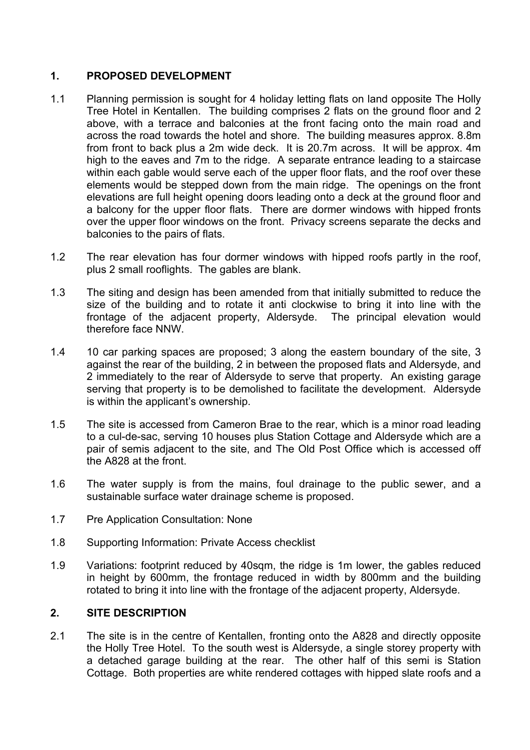# **1. PROPOSED DEVELOPMENT**

- 1.1 Planning permission is sought for 4 holiday letting flats on land opposite The Holly Tree Hotel in Kentallen. The building comprises 2 flats on the ground floor and 2 above, with a terrace and balconies at the front facing onto the main road and across the road towards the hotel and shore. The building measures approx. 8.8m from front to back plus a 2m wide deck. It is 20.7m across. It will be approx. 4m high to the eaves and 7m to the ridge. A separate entrance leading to a staircase within each gable would serve each of the upper floor flats, and the roof over these elements would be stepped down from the main ridge. The openings on the front elevations are full height opening doors leading onto a deck at the ground floor and a balcony for the upper floor flats. There are dormer windows with hipped fronts over the upper floor windows on the front. Privacy screens separate the decks and balconies to the pairs of flats.
- 1.2 The rear elevation has four dormer windows with hipped roofs partly in the roof, plus 2 small rooflights. The gables are blank.
- 1.3 The siting and design has been amended from that initially submitted to reduce the size of the building and to rotate it anti clockwise to bring it into line with the frontage of the adjacent property, Aldersyde. The principal elevation would therefore face NNW.
- 1.4 10 car parking spaces are proposed; 3 along the eastern boundary of the site, 3 against the rear of the building, 2 in between the proposed flats and Aldersyde, and 2 immediately to the rear of Aldersyde to serve that property. An existing garage serving that property is to be demolished to facilitate the development. Aldersyde is within the applicant's ownership.
- 1.5 The site is accessed from Cameron Brae to the rear, which is a minor road leading to a cul-de-sac, serving 10 houses plus Station Cottage and Aldersyde which are a pair of semis adjacent to the site, and The Old Post Office which is accessed off the A828 at the front.
- 1.6 The water supply is from the mains, foul drainage to the public sewer, and a sustainable surface water drainage scheme is proposed.
- 1.7 Pre Application Consultation: None
- 1.8 Supporting Information: Private Access checklist
- 1.9 Variations: footprint reduced by 40sqm, the ridge is 1m lower, the gables reduced in height by 600mm, the frontage reduced in width by 800mm and the building rotated to bring it into line with the frontage of the adjacent property, Aldersyde.

### **2. SITE DESCRIPTION**

2.1 The site is in the centre of Kentallen, fronting onto the A828 and directly opposite the Holly Tree Hotel. To the south west is Aldersyde, a single storey property with a detached garage building at the rear. The other half of this semi is Station Cottage. Both properties are white rendered cottages with hipped slate roofs and a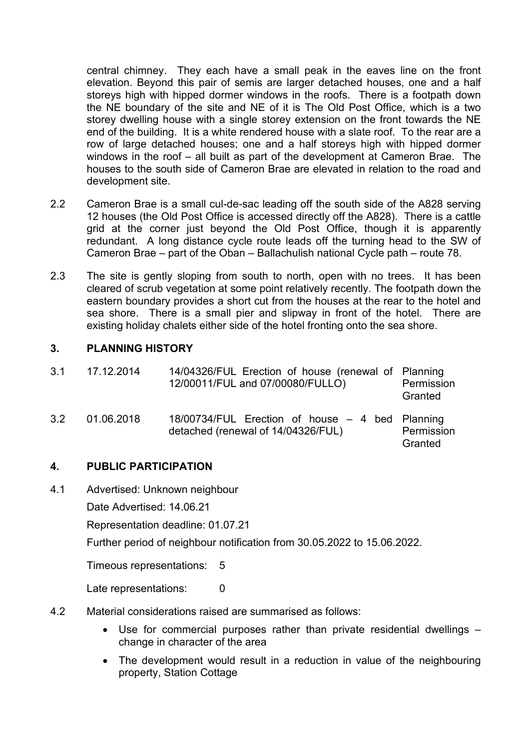central chimney. They each have a small peak in the eaves line on the front elevation. Beyond this pair of semis are larger detached houses, one and a half storeys high with hipped dormer windows in the roofs. There is a footpath down the NE boundary of the site and NE of it is The Old Post Office, which is a two storey dwelling house with a single storey extension on the front towards the NE end of the building. It is a white rendered house with a slate roof. To the rear are a row of large detached houses; one and a half storeys high with hipped dormer windows in the roof – all built as part of the development at Cameron Brae. The houses to the south side of Cameron Brae are elevated in relation to the road and development site.

- 2.2 Cameron Brae is a small cul-de-sac leading off the south side of the A828 serving 12 houses (the Old Post Office is accessed directly off the A828). There is a cattle grid at the corner just beyond the Old Post Office, though it is apparently redundant. A long distance cycle route leads off the turning head to the SW of Cameron Brae – part of the Oban – Ballachulish national Cycle path – route 78.
- 2.3 The site is gently sloping from south to north, open with no trees. It has been cleared of scrub vegetation at some point relatively recently. The footpath down the eastern boundary provides a short cut from the houses at the rear to the hotel and sea shore. There is a small pier and slipway in front of the hotel. There are existing holiday chalets either side of the hotel fronting onto the sea shore.

# **3. PLANNING HISTORY**

| 3.1 | 17.12.2014 | 14/04326/FUL Erection of house (renewal of Planning<br>12/00011/FUL and 07/00080/FULLO) | Permission<br>Granted |
|-----|------------|-----------------------------------------------------------------------------------------|-----------------------|
| 3.2 | 01.06.2018 | 18/00734/FUL Erection of house – 4 bed Planning<br>detached (renewal of 14/04326/FUL)   | Permission<br>Granted |

### **4. PUBLIC PARTICIPATION**

- 4.1 Advertised: Unknown neighbour
	- Date Advertised: 14.06.21

Representation deadline: 01.07.21

Further period of neighbour notification from 30.05.2022 to 15.06.2022.

Timeous representations: 5

Late representations: 0

- 4.2 Material considerations raised are summarised as follows:
	- Use for commercial purposes rather than private residential dwellings change in character of the area
	- The development would result in a reduction in value of the neighbouring property, Station Cottage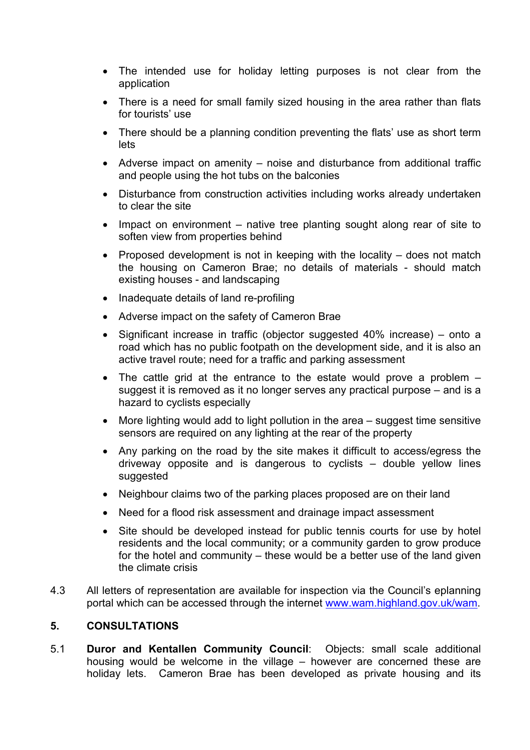- The intended use for holiday letting purposes is not clear from the application
- There is a need for small family sized housing in the area rather than flats for tourists' use
- There should be a planning condition preventing the flats' use as short term lets
- Adverse impact on amenity noise and disturbance from additional traffic and people using the hot tubs on the balconies
- Disturbance from construction activities including works already undertaken to clear the site
- Impact on environment native tree planting sought along rear of site to soften view from properties behind
- Proposed development is not in keeping with the locality does not match the housing on Cameron Brae; no details of materials - should match existing houses - and landscaping
- Inadequate details of land re-profiling
- Adverse impact on the safety of Cameron Brae
- Significant increase in traffic (objector suggested 40% increase) onto a road which has no public footpath on the development side, and it is also an active travel route; need for a traffic and parking assessment
- The cattle grid at the entrance to the estate would prove a problem suggest it is removed as it no longer serves any practical purpose – and is a hazard to cyclists especially
- More lighting would add to light pollution in the area suggest time sensitive sensors are required on any lighting at the rear of the property
- Any parking on the road by the site makes it difficult to access/egress the driveway opposite and is dangerous to cyclists – double yellow lines suggested
- Neighbour claims two of the parking places proposed are on their land
- Need for a flood risk assessment and drainage impact assessment
- Site should be developed instead for public tennis courts for use by hotel residents and the local community; or a community garden to grow produce for the hotel and community – these would be a better use of the land given the climate crisis
- 4.3 All letters of representation are available for inspection via the Council's eplanning portal which can be accessed through the internet [www.wam.highland.gov.uk/wam.](http://wam.highland.gov.uk/wam/)

### **5. CONSULTATIONS**

5.1 **Duror and Kentallen Community Council**: Objects: small scale additional housing would be welcome in the village – however are concerned these are holiday lets. Cameron Brae has been developed as private housing and its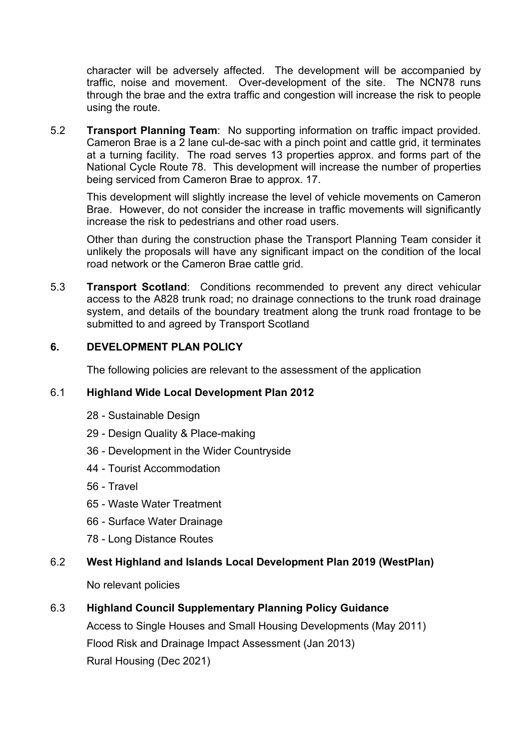character will be adversely affected. The development will be accompanied by traffic, noise and movement. Over-development of the site. The NCN78 runs through the brae and the extra traffic and congestion will increase the risk to people using the route.

5.2 **Transport Planning Team**: No supporting information on traffic impact provided. Cameron Brae is a 2 lane cul-de-sac with a pinch point and cattle grid, it terminates at a turning facility. The road serves 13 properties approx. and forms part of the National Cycle Route 78. This development will increase the number of properties being serviced from Cameron Brae to approx. 17.

This development will slightly increase the level of vehicle movements on Cameron Brae. However, do not consider the increase in traffic movements will significantly increase the risk to pedestrians and other road users.

Other than during the construction phase the Transport Planning Team consider it unlikely the proposals will have any significant impact on the condition of the local road network or the Cameron Brae cattle grid.

5.3 **Transport Scotland**: Conditions recommended to prevent any direct vehicular access to the A828 trunk road; no drainage connections to the trunk road drainage system, and details of the boundary treatment along the trunk road frontage to be submitted to and agreed by Transport Scotland

# **6. DEVELOPMENT PLAN POLICY**

The following policies are relevant to the assessment of the application

### 6.1 **Highland Wide Local Development Plan 2012**

- 28 Sustainable Design
- 29 Design Quality & Place-making
- 36 Development in the Wider Countryside
- 44 Tourist Accommodation
- 56 Travel
- 65 Waste Water Treatment
- 66 Surface Water Drainage
- 78 Long Distance Routes

### 6.2 **West Highland and Islands Local Development Plan 2019 (WestPlan)**

No relevant policies

### 6.3 **Highland Council Supplementary Planning Policy Guidance**

Access to Single Houses and Small Housing Developments (May 2011) Flood Risk and Drainage Impact Assessment (Jan 2013) Rural Housing (Dec 2021)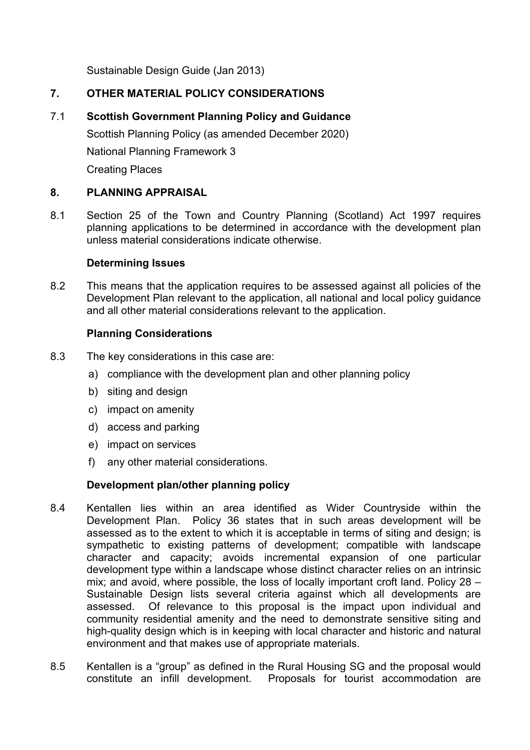Sustainable Design Guide (Jan 2013)

# **7. OTHER MATERIAL POLICY CONSIDERATIONS**

# 7.1 **Scottish Government Planning Policy and Guidance**

Scottish Planning Policy (as amended December 2020) National Planning Framework 3 Creating Places

# **8. PLANNING APPRAISAL**

8.1 Section 25 of the Town and Country Planning (Scotland) Act 1997 requires planning applications to be determined in accordance with the development plan unless material considerations indicate otherwise.

### **Determining Issues**

8.2 This means that the application requires to be assessed against all policies of the Development Plan relevant to the application, all national and local policy guidance and all other material considerations relevant to the application.

### **Planning Considerations**

- 8.3 The key considerations in this case are:
	- a) compliance with the development plan and other planning policy
	- b) siting and design
	- c) impact on amenity
	- d) access and parking
	- e) impact on services
	- f) any other material considerations.

### **Development plan/other planning policy**

- 8.4 Kentallen lies within an area identified as Wider Countryside within the Development Plan. Policy 36 states that in such areas development will be assessed as to the extent to which it is acceptable in terms of siting and design; is sympathetic to existing patterns of development; compatible with landscape character and capacity; avoids incremental expansion of one particular development type within a landscape whose distinct character relies on an intrinsic mix; and avoid, where possible, the loss of locally important croft land. Policy 28 – Sustainable Design lists several criteria against which all developments are assessed. Of relevance to this proposal is the impact upon individual and community residential amenity and the need to demonstrate sensitive siting and high-quality design which is in keeping with local character and historic and natural environment and that makes use of appropriate materials.
- 8.5 Kentallen is a "group" as defined in the Rural Housing SG and the proposal would constitute an infill development. Proposals for tourist accommodation are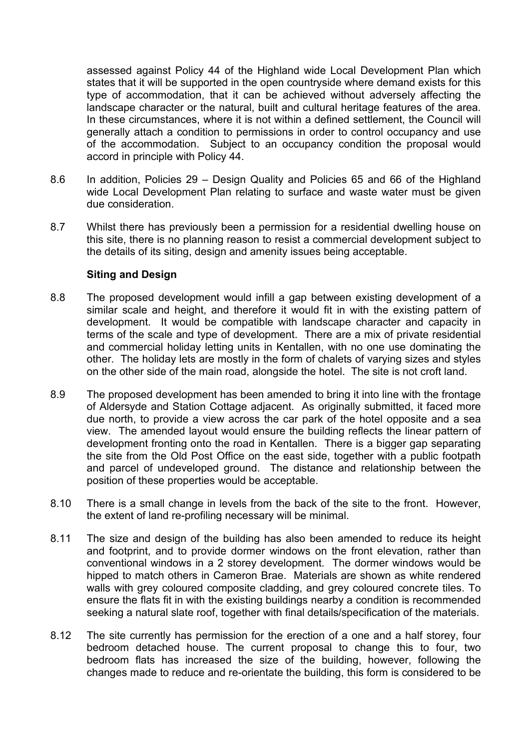assessed against Policy 44 of the Highland wide Local Development Plan which states that it will be supported in the open countryside where demand exists for this type of accommodation, that it can be achieved without adversely affecting the landscape character or the natural, built and cultural heritage features of the area. In these circumstances, where it is not within a defined settlement, the Council will generally attach a condition to permissions in order to control occupancy and use of the accommodation. Subject to an occupancy condition the proposal would accord in principle with Policy 44.

- 8.6 In addition, Policies 29 Design Quality and Policies 65 and 66 of the Highland wide Local Development Plan relating to surface and waste water must be given due consideration.
- 8.7 Whilst there has previously been a permission for a residential dwelling house on this site, there is no planning reason to resist a commercial development subject to the details of its siting, design and amenity issues being acceptable.

### **Siting and Design**

- 8.8 The proposed development would infill a gap between existing development of a similar scale and height, and therefore it would fit in with the existing pattern of development. It would be compatible with landscape character and capacity in terms of the scale and type of development. There are a mix of private residential and commercial holiday letting units in Kentallen, with no one use dominating the other. The holiday lets are mostly in the form of chalets of varying sizes and styles on the other side of the main road, alongside the hotel. The site is not croft land.
- 8.9 The proposed development has been amended to bring it into line with the frontage of Aldersyde and Station Cottage adjacent. As originally submitted, it faced more due north, to provide a view across the car park of the hotel opposite and a sea view. The amended layout would ensure the building reflects the linear pattern of development fronting onto the road in Kentallen. There is a bigger gap separating the site from the Old Post Office on the east side, together with a public footpath and parcel of undeveloped ground. The distance and relationship between the position of these properties would be acceptable.
- 8.10 There is a small change in levels from the back of the site to the front. However, the extent of land re-profiling necessary will be minimal.
- 8.11 The size and design of the building has also been amended to reduce its height and footprint, and to provide dormer windows on the front elevation, rather than conventional windows in a 2 storey development. The dormer windows would be hipped to match others in Cameron Brae. Materials are shown as white rendered walls with grey coloured composite cladding, and grey coloured concrete tiles. To ensure the flats fit in with the existing buildings nearby a condition is recommended seeking a natural slate roof, together with final details/specification of the materials.
- 8.12 The site currently has permission for the erection of a one and a half storey, four bedroom detached house. The current proposal to change this to four, two bedroom flats has increased the size of the building, however, following the changes made to reduce and re-orientate the building, this form is considered to be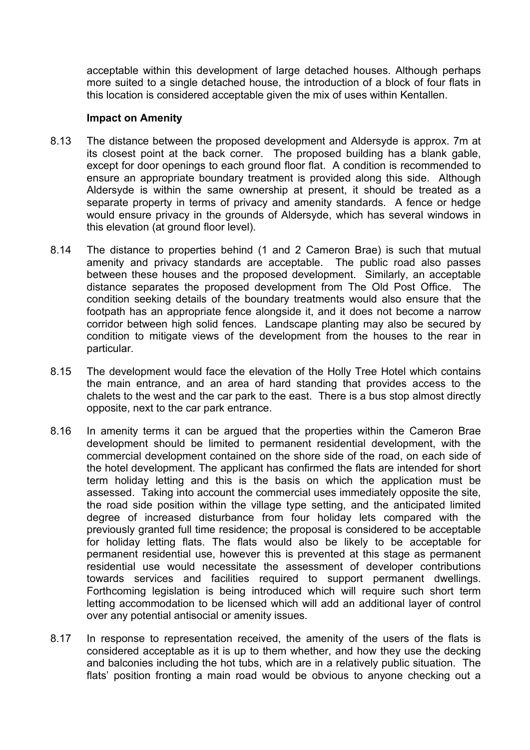acceptable within this development of large detached houses. Although perhaps more suited to a single detached house, the introduction of a block of four flats in this location is considered acceptable given the mix of uses within Kentallen.

#### **Impact on Amenity**

- 8.13 The distance between the proposed development and Aldersyde is approx. 7m at its closest point at the back corner. The proposed building has a blank gable, except for door openings to each ground floor flat. A condition is recommended to ensure an appropriate boundary treatment is provided along this side. Although Aldersyde is within the same ownership at present, it should be treated as a separate property in terms of privacy and amenity standards. A fence or hedge would ensure privacy in the grounds of Aldersyde, which has several windows in this elevation (at ground floor level).
- 8.14 The distance to properties behind (1 and 2 Cameron Brae) is such that mutual amenity and privacy standards are acceptable. The public road also passes between these houses and the proposed development. Similarly, an acceptable distance separates the proposed development from The Old Post Office. The condition seeking details of the boundary treatments would also ensure that the footpath has an appropriate fence alongside it, and it does not become a narrow corridor between high solid fences. Landscape planting may also be secured by condition to mitigate views of the development from the houses to the rear in particular.
- 8.15 The development would face the elevation of the Holly Tree Hotel which contains the main entrance, and an area of hard standing that provides access to the chalets to the west and the car park to the east. There is a bus stop almost directly opposite, next to the car park entrance.
- 8.16 In amenity terms it can be argued that the properties within the Cameron Brae development should be limited to permanent residential development, with the commercial development contained on the shore side of the road, on each side of the hotel development. The applicant has confirmed the flats are intended for short term holiday letting and this is the basis on which the application must be assessed. Taking into account the commercial uses immediately opposite the site, the road side position within the village type setting, and the anticipated limited degree of increased disturbance from four holiday lets compared with the previously granted full time residence; the proposal is considered to be acceptable for holiday letting flats. The flats would also be likely to be acceptable for permanent residential use, however this is prevented at this stage as permanent residential use would necessitate the assessment of developer contributions towards services and facilities required to support permanent dwellings. Forthcoming legislation is being introduced which will require such short term letting accommodation to be licensed which will add an additional layer of control over any potential antisocial or amenity issues.
- 8.17 In response to representation received, the amenity of the users of the flats is considered acceptable as it is up to them whether, and how they use the decking and balconies including the hot tubs, which are in a relatively public situation. The flats' position fronting a main road would be obvious to anyone checking out a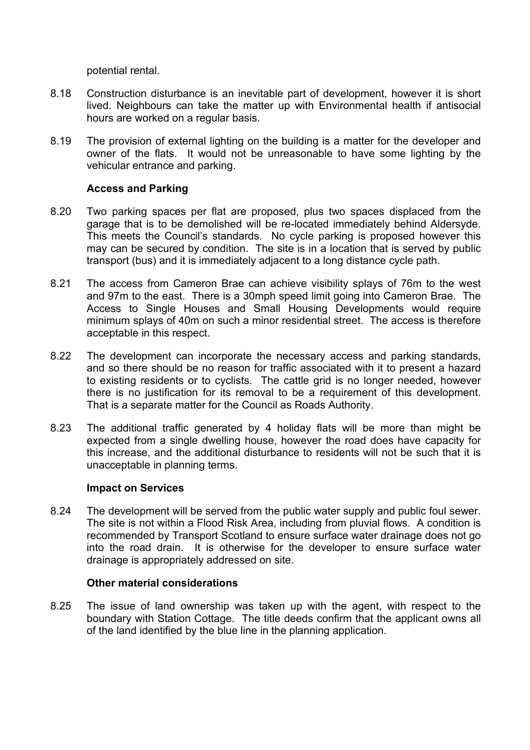potential rental.

- 8.18 Construction disturbance is an inevitable part of development, however it is short lived. Neighbours can take the matter up with Environmental health if antisocial hours are worked on a regular basis.
- 8.19 The provision of external lighting on the building is a matter for the developer and owner of the flats. It would not be unreasonable to have some lighting by the vehicular entrance and parking.

#### **Access and Parking**

- 8.20 Two parking spaces per flat are proposed, plus two spaces displaced from the garage that is to be demolished will be re-located immediately behind Aldersyde. This meets the Council's standards. No cycle parking is proposed however this may can be secured by condition. The site is in a location that is served by public transport (bus) and it is immediately adjacent to a long distance cycle path.
- 8.21 The access from Cameron Brae can achieve visibility splays of 76m to the west and 97m to the east. There is a 30mph speed limit going into Cameron Brae. The Access to Single Houses and Small Housing Developments would require minimum splays of 40m on such a minor residential street. The access is therefore acceptable in this respect.
- 8.22 The development can incorporate the necessary access and parking standards, and so there should be no reason for traffic associated with it to present a hazard to existing residents or to cyclists. The cattle grid is no longer needed, however there is no justification for its removal to be a requirement of this development. That is a separate matter for the Council as Roads Authority.
- 8.23 The additional traffic generated by 4 holiday flats will be more than might be expected from a single dwelling house, however the road does have capacity for this increase, and the additional disturbance to residents will not be such that it is unacceptable in planning terms.

### **Impact on Services**

8.24 The development will be served from the public water supply and public foul sewer. The site is not within a Flood Risk Area, including from pluvial flows. A condition is recommended by Transport Scotland to ensure surface water drainage does not go into the road drain. It is otherwise for the developer to ensure surface water drainage is appropriately addressed on site.

#### **Other material considerations**

8.25 The issue of land ownership was taken up with the agent, with respect to the boundary with Station Cottage. The title deeds confirm that the applicant owns all of the land identified by the blue line in the planning application.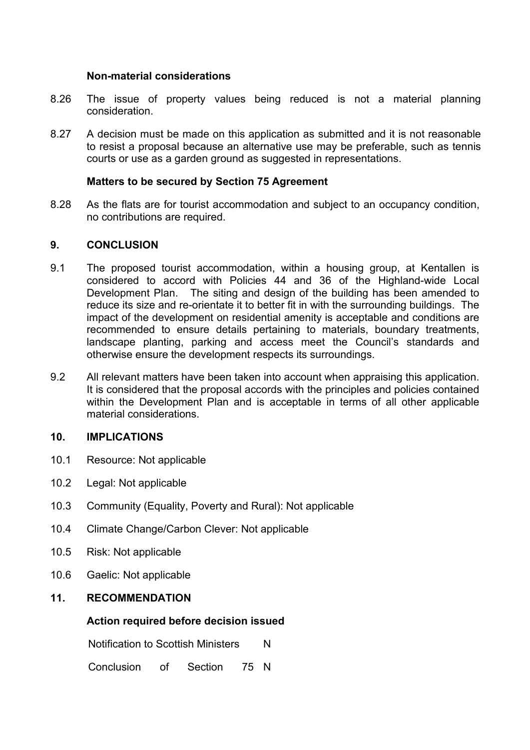### **Non-material considerations**

- 8.26 The issue of property values being reduced is not a material planning consideration.
- 8.27 A decision must be made on this application as submitted and it is not reasonable to resist a proposal because an alternative use may be preferable, such as tennis courts or use as a garden ground as suggested in representations.

### **Matters to be secured by Section 75 Agreement**

8.28 As the flats are for tourist accommodation and subject to an occupancy condition, no contributions are required.

#### **9. CONCLUSION**

- 9.1 The proposed tourist accommodation, within a housing group, at Kentallen is considered to accord with Policies 44 and 36 of the Highland-wide Local Development Plan. The siting and design of the building has been amended to reduce its size and re-orientate it to better fit in with the surrounding buildings. The impact of the development on residential amenity is acceptable and conditions are recommended to ensure details pertaining to materials, boundary treatments, landscape planting, parking and access meet the Council's standards and otherwise ensure the development respects its surroundings.
- 9.2 All relevant matters have been taken into account when appraising this application. It is considered that the proposal accords with the principles and policies contained within the Development Plan and is acceptable in terms of all other applicable material considerations.

### **10. IMPLICATIONS**

- 10.1 Resource: Not applicable
- 10.2 Legal: Not applicable
- 10.3 Community (Equality, Poverty and Rural): Not applicable
- 10.4 Climate Change/Carbon Clever: Not applicable
- 10.5 Risk: Not applicable
- 10.6 Gaelic: Not applicable

### **11. RECOMMENDATION**

### **Action required before decision issued**

Notification to Scottish Ministers N

Conclusion of Section 75 N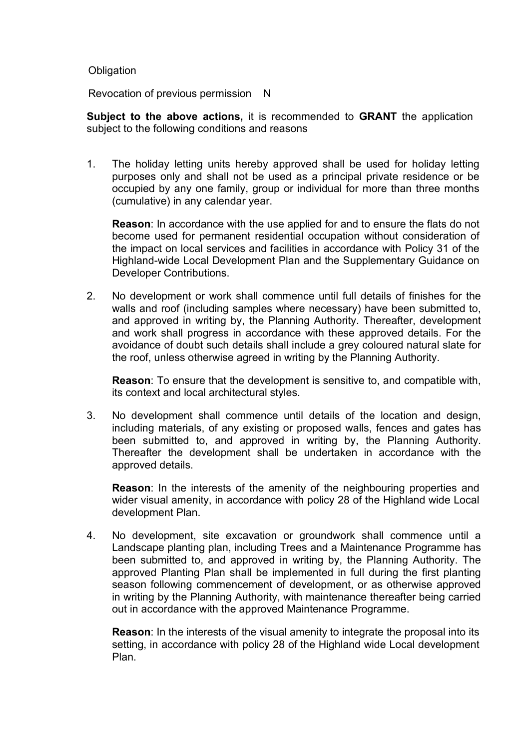#### **Obligation**

Revocation of previous permission N

**Subject to the above actions,** it is recommended to **GRANT** the application subject to the following conditions and reasons

1. The holiday letting units hereby approved shall be used for holiday letting purposes only and shall not be used as a principal private residence or be occupied by any one family, group or individual for more than three months (cumulative) in any calendar year.

**Reason**: In accordance with the use applied for and to ensure the flats do not become used for permanent residential occupation without consideration of the impact on local services and facilities in accordance with Policy 31 of the Highland-wide Local Development Plan and the Supplementary Guidance on Developer Contributions.

2. No development or work shall commence until full details of finishes for the walls and roof (including samples where necessary) have been submitted to, and approved in writing by, the Planning Authority. Thereafter, development and work shall progress in accordance with these approved details. For the avoidance of doubt such details shall include a grey coloured natural slate for the roof, unless otherwise agreed in writing by the Planning Authority.

**Reason**: To ensure that the development is sensitive to, and compatible with, its context and local architectural styles.

3. No development shall commence until details of the location and design, including materials, of any existing or proposed walls, fences and gates has been submitted to, and approved in writing by, the Planning Authority. Thereafter the development shall be undertaken in accordance with the approved details.

**Reason**: In the interests of the amenity of the neighbouring properties and wider visual amenity, in accordance with policy 28 of the Highland wide Local development Plan.

4. No development, site excavation or groundwork shall commence until a Landscape planting plan, including Trees and a Maintenance Programme has been submitted to, and approved in writing by, the Planning Authority. The approved Planting Plan shall be implemented in full during the first planting season following commencement of development, or as otherwise approved in writing by the Planning Authority, with maintenance thereafter being carried out in accordance with the approved Maintenance Programme.

**Reason**: In the interests of the visual amenity to integrate the proposal into its setting, in accordance with policy 28 of the Highland wide Local development Plan.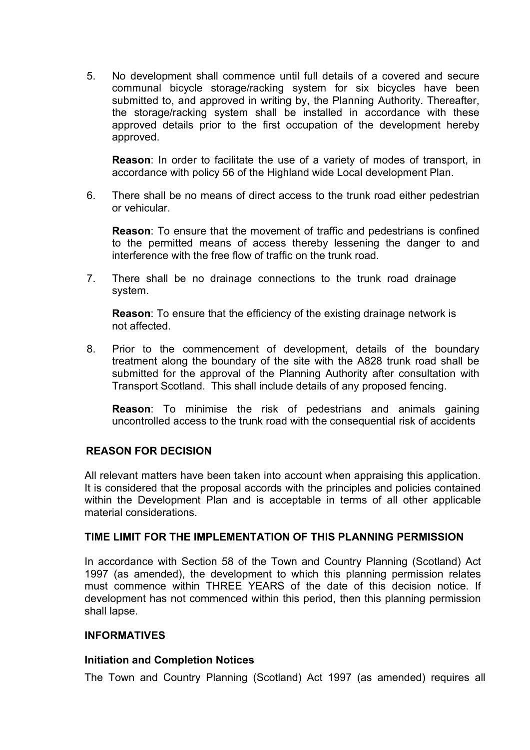5. No development shall commence until full details of a covered and secure communal bicycle storage/racking system for six bicycles have been submitted to, and approved in writing by, the Planning Authority. Thereafter, the storage/racking system shall be installed in accordance with these approved details prior to the first occupation of the development hereby approved.

**Reason**: In order to facilitate the use of a variety of modes of transport, in accordance with policy 56 of the Highland wide Local development Plan.

6. There shall be no means of direct access to the trunk road either pedestrian or vehicular.

**Reason**: To ensure that the movement of traffic and pedestrians is confined to the permitted means of access thereby lessening the danger to and interference with the free flow of traffic on the trunk road.

7. There shall be no drainage connections to the trunk road drainage system.

**Reason**: To ensure that the efficiency of the existing drainage network is not affected.

8. Prior to the commencement of development, details of the boundary treatment along the boundary of the site with the A828 trunk road shall be submitted for the approval of the Planning Authority after consultation with Transport Scotland. This shall include details of any proposed fencing.

**Reason**: To minimise the risk of pedestrians and animals gaining uncontrolled access to the trunk road with the consequential risk of accidents

### **REASON FOR DECISION**

All relevant matters have been taken into account when appraising this application. It is considered that the proposal accords with the principles and policies contained within the Development Plan and is acceptable in terms of all other applicable material considerations.

## **TIME LIMIT FOR THE IMPLEMENTATION OF THIS PLANNING PERMISSION**

In accordance with Section 58 of the Town and Country Planning (Scotland) Act 1997 (as amended), the development to which this planning permission relates must commence within THREE YEARS of the date of this decision notice. If development has not commenced within this period, then this planning permission shall lapse.

### **INFORMATIVES**

### **Initiation and Completion Notices**

The Town and Country Planning (Scotland) Act 1997 (as amended) requires all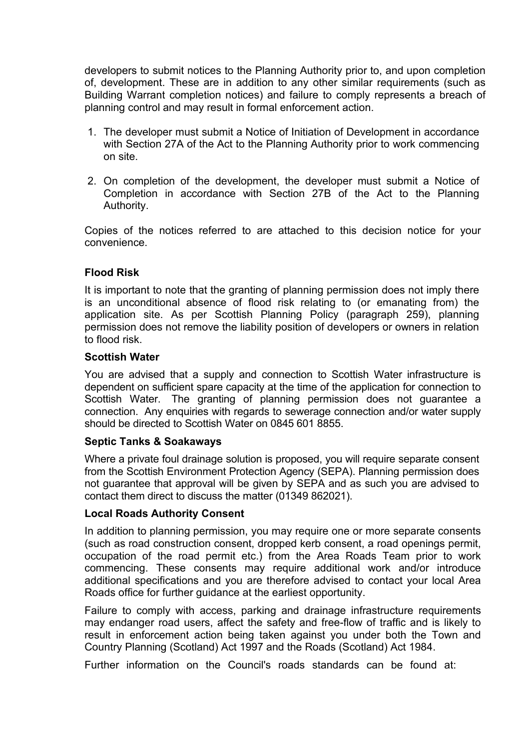developers to submit notices to the Planning Authority prior to, and upon completion of, development. These are in addition to any other similar requirements (such as Building Warrant completion notices) and failure to comply represents a breach of planning control and may result in formal enforcement action.

- 1. The developer must submit a Notice of Initiation of Development in accordance with Section 27A of the Act to the Planning Authority prior to work commencing on site.
- 2. On completion of the development, the developer must submit a Notice of Completion in accordance with Section 27B of the Act to the Planning Authority.

Copies of the notices referred to are attached to this decision notice for your convenience.

# **Flood Risk**

It is important to note that the granting of planning permission does not imply there is an unconditional absence of flood risk relating to (or emanating from) the application site. As per Scottish Planning Policy (paragraph 259), planning permission does not remove the liability position of developers or owners in relation to flood risk.

#### **Scottish Water**

You are advised that a supply and connection to Scottish Water infrastructure is dependent on sufficient spare capacity at the time of the application for connection to Scottish Water. The granting of planning permission does not guarantee a connection. Any enquiries with regards to sewerage connection and/or water supply should be directed to Scottish Water on 0845 601 8855.

### **Septic Tanks & Soakaways**

Where a private foul drainage solution is proposed, you will require separate consent from the Scottish Environment Protection Agency (SEPA). Planning permission does not guarantee that approval will be given by SEPA and as such you are advised to contact them direct to discuss the matter (01349 862021).

### **Local Roads Authority Consent**

In addition to planning permission, you may require one or more separate consents (such as road construction consent, dropped kerb consent, a road openings permit, occupation of the road permit etc.) from the Area Roads Team prior to work commencing. These consents may require additional work and/or introduce additional specifications and you are therefore advised to contact your local Area Roads office for further guidance at the earliest opportunity.

Failure to comply with access, parking and drainage infrastructure requirements may endanger road users, affect the safety and free-flow of traffic and is likely to result in enforcement action being taken against you under both the Town and Country Planning (Scotland) Act 1997 and the Roads (Scotland) Act 1984.

Further information on the Council's roads standards can be found at: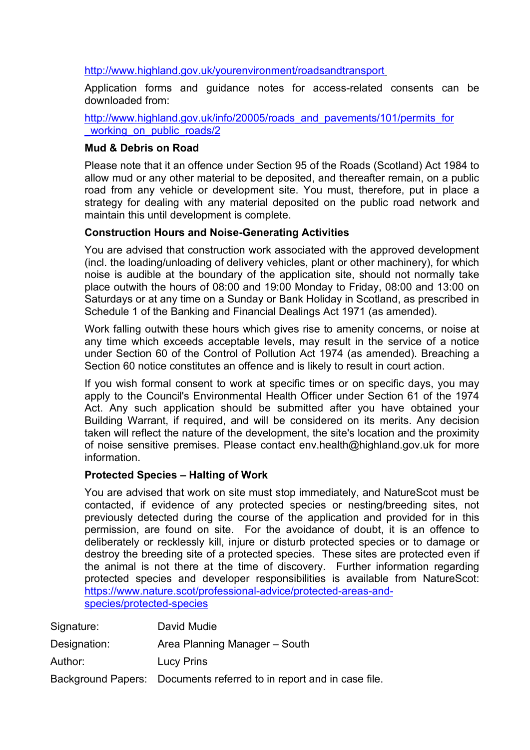<http://www.highland.gov.uk/yourenvironment/roadsandtransport>

Application forms and guidance notes for access-related consents can be downloaded from:

[http://www.highland.gov.uk/info/20005/roads\\_and\\_pavements/101/permits\\_for](http://www.highland.gov.uk/info/20005/roads_and_pavements/101/permits_for_working_on_public_roads/2) working on public roads/2

## **Mud & Debris on Road**

Please note that it an offence under Section 95 of the Roads (Scotland) Act 1984 to allow mud or any other material to be deposited, and thereafter remain, on a public road from any vehicle or development site. You must, therefore, put in place a strategy for dealing with any material deposited on the public road network and maintain this until development is complete.

# **Construction Hours and Noise-Generating Activities**

You are advised that construction work associated with the approved development (incl. the loading/unloading of delivery vehicles, plant or other machinery), for which noise is audible at the boundary of the application site, should not normally take place outwith the hours of 08:00 and 19:00 Monday to Friday, 08:00 and 13:00 on Saturdays or at any time on a Sunday or Bank Holiday in Scotland, as prescribed in Schedule 1 of the Banking and Financial Dealings Act 1971 (as amended).

Work falling outwith these hours which gives rise to amenity concerns, or noise at any time which exceeds acceptable levels, may result in the service of a notice under Section 60 of the Control of Pollution Act 1974 (as amended). Breaching a Section 60 notice constitutes an offence and is likely to result in court action.

If you wish formal consent to work at specific times or on specific days, you may apply to the Council's Environmental Health Officer under Section 61 of the 1974 Act. Any such application should be submitted after you have obtained your Building Warrant, if required, and will be considered on its merits. Any decision taken will reflect the nature of the development, the site's location and the proximity of noise sensitive premises. Please contact env.health@highland.gov.uk for more information.

### **Protected Species – Halting of Work**

You are advised that work on site must stop immediately, and NatureScot must be contacted, if evidence of any protected species or nesting/breeding sites, not previously detected during the course of the application and provided for in this permission, are found on site. For the avoidance of doubt, it is an offence to deliberately or recklessly kill, injure or disturb protected species or to damage or destroy the breeding site of a protected species. These sites are protected even if the animal is not there at the time of discovery. Further information regarding protected species and developer responsibilities is available from NatureScot: [https://www.nature.scot/professional-advice/protected-areas-and](https://www.nature.scot/professional-advice/protected-areas-and-species/protected-species)[species/protected-species](https://www.nature.scot/professional-advice/protected-areas-and-species/protected-species)

| Signature:   | David Mudie                                                          |
|--------------|----------------------------------------------------------------------|
| Designation: | Area Planning Manager – South                                        |
| Author:      | <b>Lucy Prins</b>                                                    |
|              | Background Papers: Documents referred to in report and in case file. |
|              |                                                                      |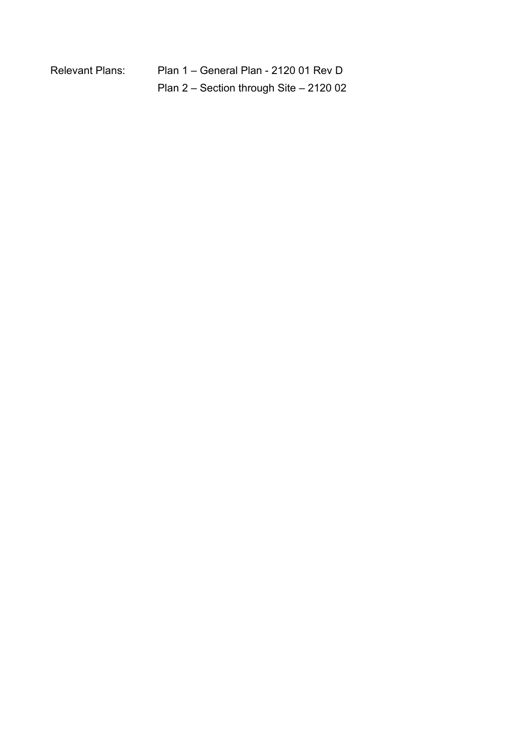| <b>Relevant Plans:</b> | Plan 1 |
|------------------------|--------|
|                        |        |

- General Plan - 2120 01 Rev D Plan 2 – Section through Site – 2120 02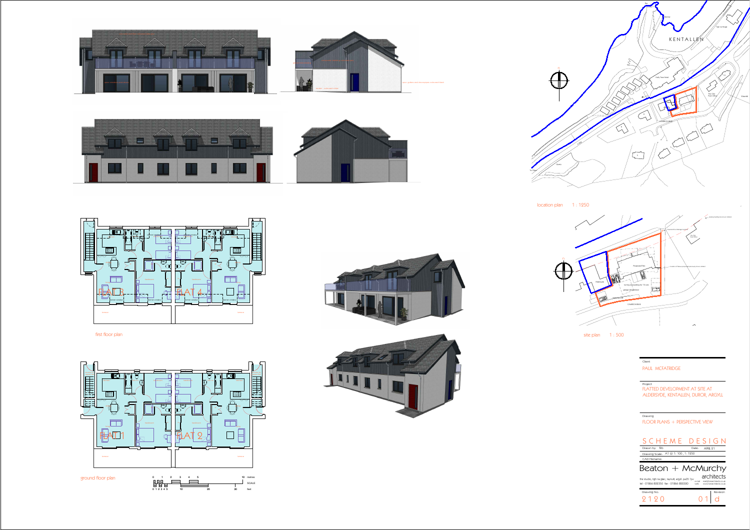











Project<br>FLATTED DEVELOPMENT AT SITE AT<br>ALDERSYDE, KENTALLEN, DUROR, ARGYLL

| SCHEME DESIGN                         |       |          |  |
|---------------------------------------|-------|----------|--|
| fkb<br>Drawn by                       | Date: | APRIL 21 |  |
| Drawing Scale: A1 $@$ 1: 100, 1: 1250 |       |          |  |
|                                       |       |          |  |
| CAD Filename:                         |       |          |  |
| Beaton + McMurchy                     |       |          |  |





location plan 1:1250